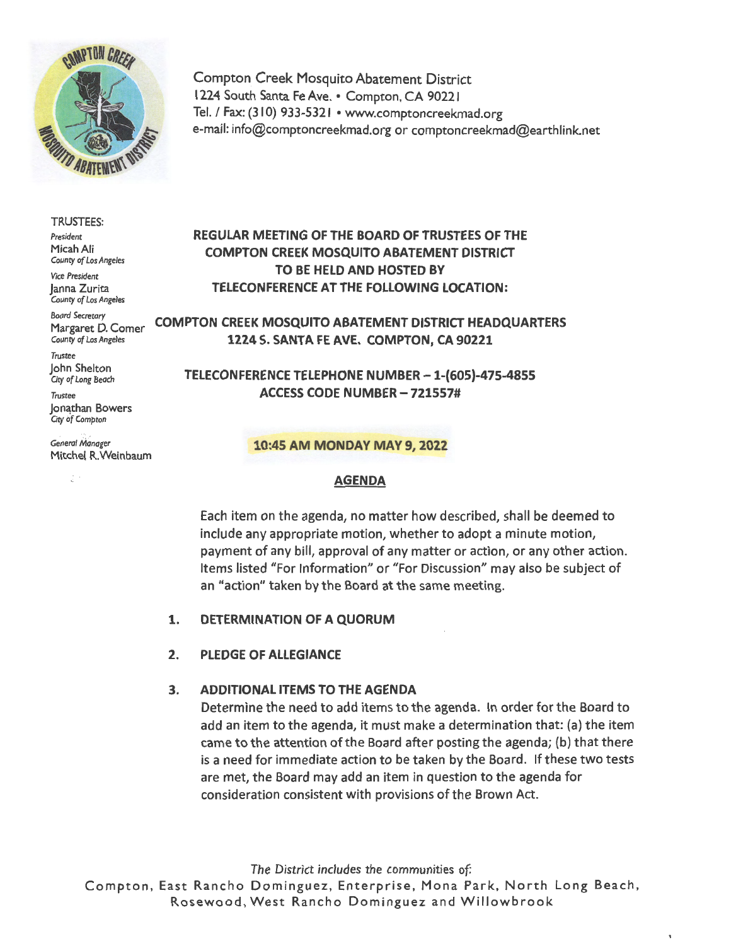

Compton Creek Mosquito Abatement District 1224 South Santa Fe **Ave.** • Compton, CA 90221 Tel. / Fax: (310) 933-5321 • www.comptoncreekmad.org e-mail: info@comptoncreekmad.org or comptoncreekmad@earthlink.net

### TRUSTEES:

*President*  Micah Ali *County of Los Angeles* 

Vice *President*  Janna Zurita *County of Los* Ange/es

*Boord Secretory* 

*Trustee*  John Shelton Gty *of Long Beach* 

*Trustee*  **Jonathan Bowers** Gty *bf Compton* 

General Manager Mitchel R.Weinbaum

# **REGULAR MEETING OF THE BOARD OF TRUSTEES OF THE COMPTON CREEK MOSQUITO ABATEMENT DISTRICT TO BE HELD AND HOSTED BY TELECONFERENCE AT THE FOLLOWING LOCATION:**

Margaret D. Comer **COMPTON CREEK MOSQUITO ABATEMENT DISTRICT HEADQUARTERS** *countyofLosAngeles* **1224 S. SANTA FE AVE. COMPTON, CA 90221** 

> **TELECONFERENCE TELEPHONE NUMBER -1-{605)-475-4855 ACCESS CODE NUMBER - 721557#**

### **10:45 AM MONDAY MAY 9, 2022**

### **AGENDA**

Each item on the agenda, no matter how described, shall be deemed to include any appropriate motion, whether to adopt a minute motion, payment of any bill, approval of any matter or action, or any other action. Items listed "For Information" or "For Discussion" may also be subject of an "action" taken by the Board at the same meeting.

## **1. DETERMINATION OF A QUORUM**

**2. PLEDGE OF ALLEGIANCE** 

# **3. ADDITIONAL ITEMS TO THE AGENDA**

Determine the need to add items to the agenda. In order for the Board to add an item to the agenda, it must make a determination that: (a) the item came to the attention of the Board after posting the agenda; (b) that there is a need for immediate action to be taken by the Board. If these two tests are met, the Board may add an item in question to the agenda for consideration consistent with provisions of the Brown Act.

 $\mathbf{t}$ 

*The District includes the communities of:* 

Compton, East Rancho Dominguez, Enterprise, Mona Park, North Long Beach, Rosewood, West Rancho Dominguez and Willowbrook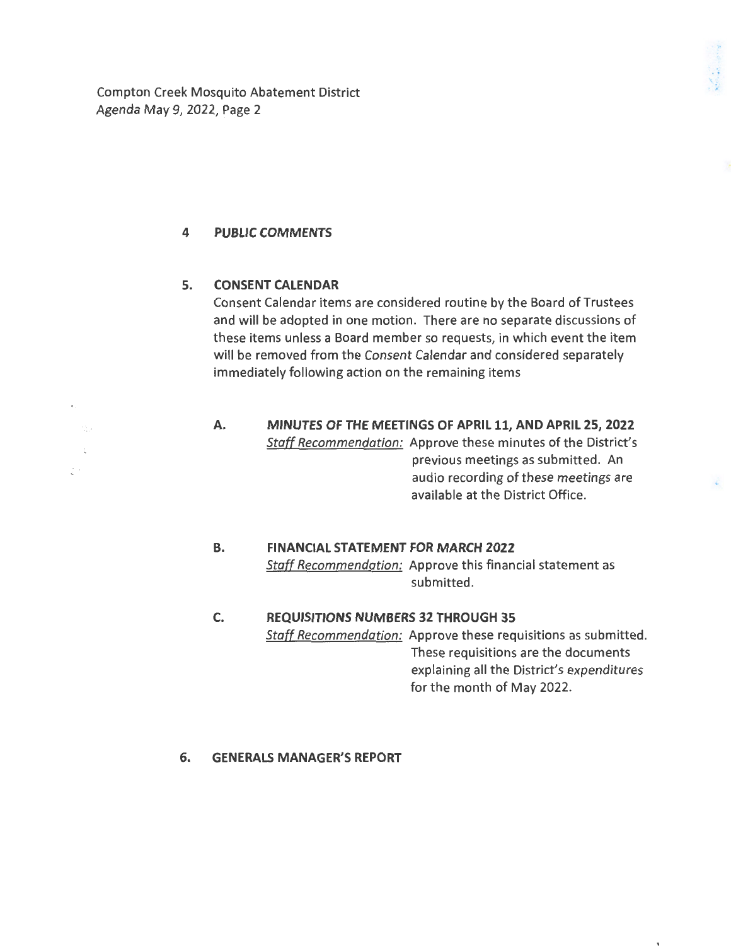Compton Creek Mosquito Abatement District Agenda May 9, 2022, Page 2

## **4 PUBLIC COMMENTS**

## **5. CONSENT CALENDAR**

 $\gamma_{\rm{eff}}^{\rm{c}}$ 

 $\mathbb{R}^{n+1}$ 

Consent Calendar items are considered routine by the Board of Trustees and will be adopted in one motion. There are no separate discussions of these items unless a Board member so requests, in which event the item will be removed from the Consent Calendar and considered separately immediately following action on the remaining items

### **A. MINUTES OF THE MEETINGS OF APRIL 11, AND APRIL 25, 2022**  *Staff Recommendation:* Approve these minutes of the District's previous meetings as submitted. An audio recording of these meetings are available at the District Office.

#### **B. FINANCIAL STATEMENT FOR MARCH 2022**

*Staff Recommendation:* Approve this financial statement as submitted.

# **C. REQUISITIONS NUMBERS 32 THROUGH 35**  *Staff Recommendation:* Approve these requisitions as submitted. These requisitions are the documents explaining all the District's expenditures for the month of May 2022.

### **6. GENERALS MANAGER'S REPORT**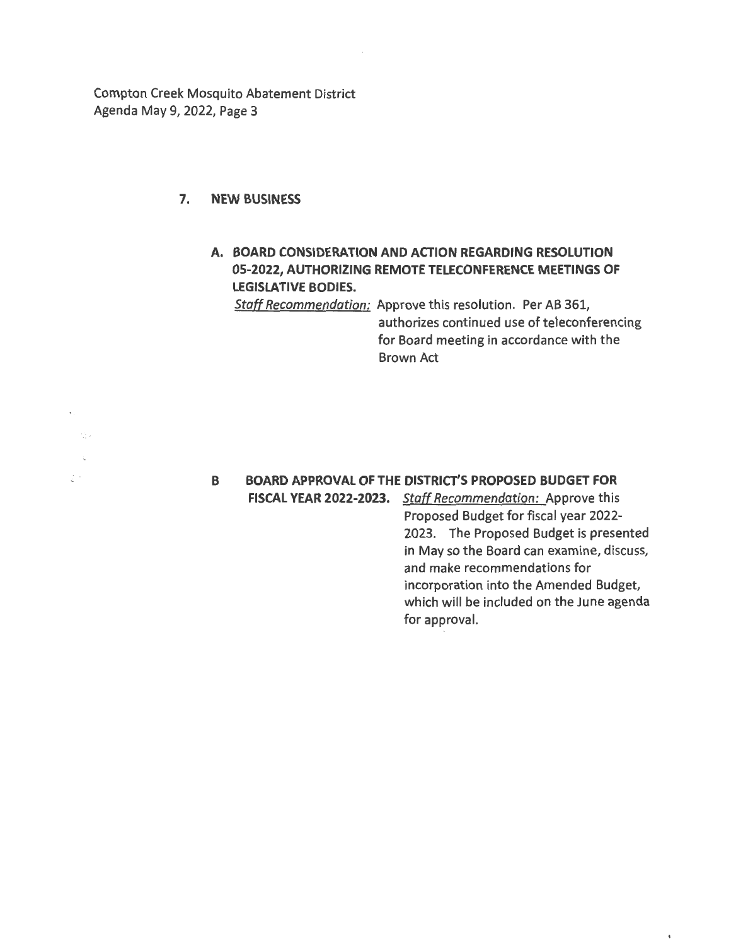Compton Creek Mosquito Abatement District Agenda May 9, 2022, Page 3

## **7. NEW BUSINESS**

έ÷.

# **A. BOARD CONSIDERATION AND ACTION REGARDING RESOLUTION 05-2022, AUTHORIZING REMOTE TELECONFERENCE MEETINGS OF LEGISLATIVE BODIES.**

*Staff Recommendation:* Approve this resolution. Per AB 361, authorizes continued use of teleconferencing for Board meeting in accordance with the Brown Act

## **B BOARD APPROVAL OF THE DISTRICT'S PROPOSED BUDGET FOR FISCAL YEAR 2022-2023.** *Staff Recommendation:* Approve this

Proposed Budget for fiscal year 2022- 2023. The Proposed Budget is presented in May so the Board can examine, discuss, and make recommendations for incorporation into the Amended Budget, which will be included on the June agenda for approval.

 $\pmb{\mathfrak{r}}$